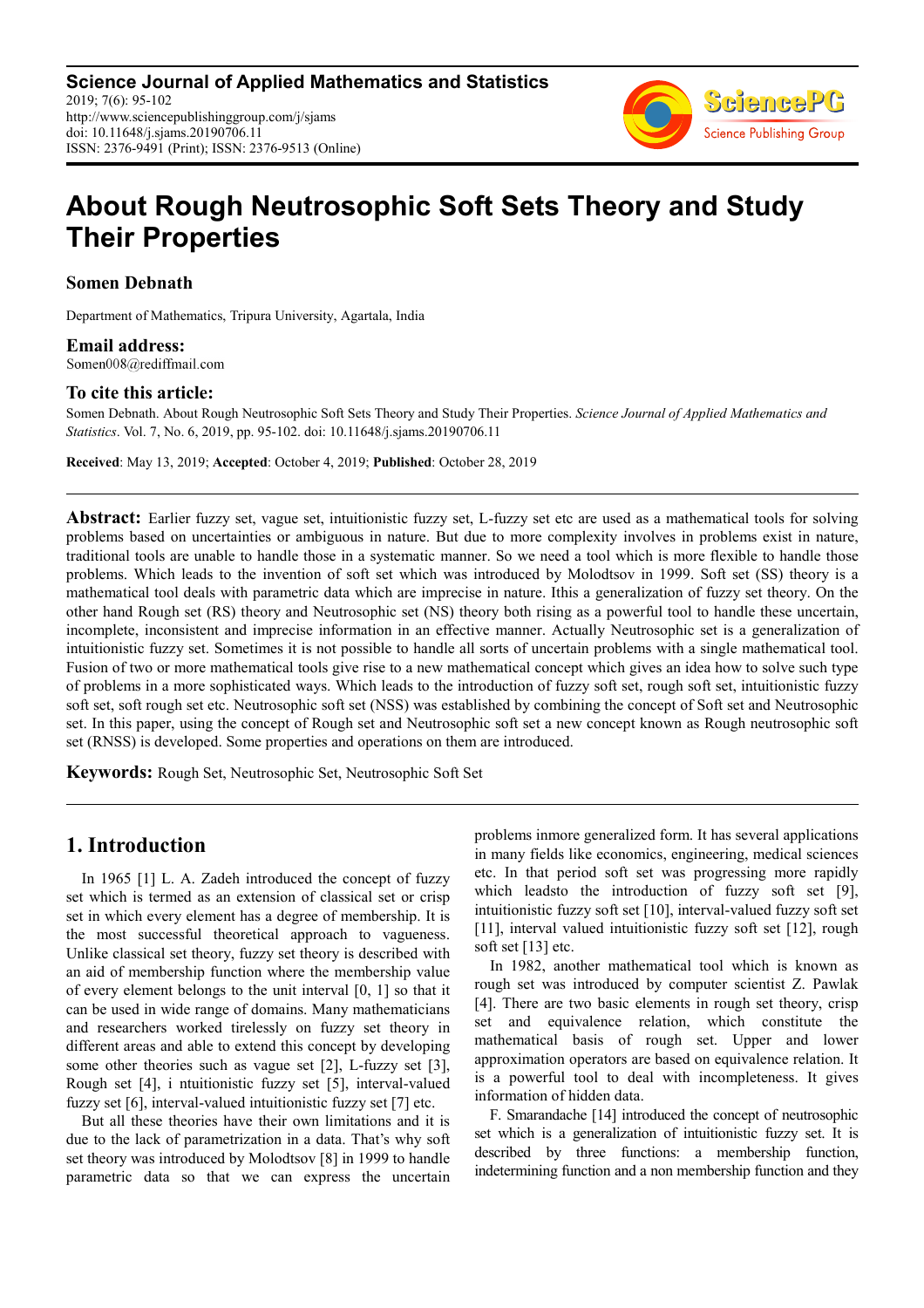

# **About Rough Neutrosophic Soft Sets Theory and Study Their Properties**

#### **Somen Debnath**

Department of Mathematics, Tripura University, Agartala, India

**Email address:**<br>Somen008@rediffmail.com

#### **To cite this article:**

Somen Debnath. About Rough Neutrosophic Soft Sets Theory and Study Their Properties. *Science Journal of Applied Mathematics and Statistics*. Vol. 7, No. 6, 2019, pp. 95-102. doi: 10.11648/j.sjams.20190706.11

**Received**: May 13, 2019; **Accepted**: October 4, 2019; **Published**: October 28, 2019

**Abstract:** Earlier fuzzy set, vague set, intuitionistic fuzzy set, L-fuzzy set etc are used as a mathematical tools for solving problems based on uncertainties or ambiguous in nature. But due to more complexity involves in problems exist in nature, traditional tools are unable to handle those in a systematic manner. So we need a tool which is more flexible to handle those problems. Which leads to the invention of soft set which was introduced by Molodtsov in 1999. Soft set (SS) theory is a mathematical tool deals with parametric data which are imprecise in nature. Ithis a generalization of fuzzy set theory. On the other hand Rough set (RS) theory and Neutrosophic set (NS) theory both rising as a powerful tool to handle these uncertain, incomplete, inconsistent and imprecise information in an effective manner. Actually Neutrosophic set is a generalization of intuitionistic fuzzy set. Sometimes it is not possible to handle all sorts of uncertain problems with a single mathematical tool. Fusion of two or more mathematical tools give rise to a new mathematical concept which gives an idea how to solve such type of problems in a more sophisticated ways. Which leads to the introduction of fuzzy soft set, rough soft set, intuitionistic fuzzy soft set, soft rough set etc. Neutrosophic soft set (NSS) was established by combining the concept of Soft set and Neutrosophic set. In this paper, using the concept of Rough set and Neutrosophic soft set a new concept known as Rough neutrosophic soft set (RNSS) is developed. Some properties and operations on them are introduced.

**Keywords:** Rough Set, Neutrosophic Set, Neutrosophic Soft Set

## **1. Introduction**

In 1965 [1] L. A. Zadeh introduced the concept of fuzzy set which is termed as an extension of classical set or crisp set in which every element has a degree of membership. It is the most successful theoretical approach to vagueness. Unlike classical set theory, fuzzy set theory is described with an aid of membership function where the membership value of every element belongs to the unit interval [0, 1] so that it can be used in wide range of domains. Many mathematicians and researchers worked tirelessly on fuzzy set theory in different areas and able to extend this concept by developing some other theories such as vague set [2], L-fuzzy set [3], Rough set [4], i ntuitionistic fuzzy set [5], interval-valued fuzzy set [6], interval-valued intuitionistic fuzzy set [7] etc.

But all these theories have their own limitations and it is due to the lack of parametrization in a data. That's why soft set theory was introduced by Molodtsov [8] in 1999 to handle parametric data so that we can express the uncertain problems inmore generalized form. It has several applications in many fields like economics, engineering, medical sciences etc. In that period soft set was progressing more rapidly which leadsto the introduction of fuzzy soft set [9], intuitionistic fuzzy soft set [10], interval-valued fuzzy soft set [11], interval valued intuitionistic fuzzy soft set [12], rough soft set [13] etc.

In 1982, another mathematical tool which is known as rough set was introduced by computer scientist Z. Pawlak [4]. There are two basic elements in rough set theory, crisp set and equivalence relation, which constitute the mathematical basis of rough set. Upper and lower approximation operators are based on equivalence relation. It is a powerful tool to deal with incompleteness. It gives information of hidden data.

F. Smarandache [14] introduced the concept of neutrosophic set which is a generalization of intuitionistic fuzzy set. It is described by three functions: a membership function, indetermining function and a non membership function and they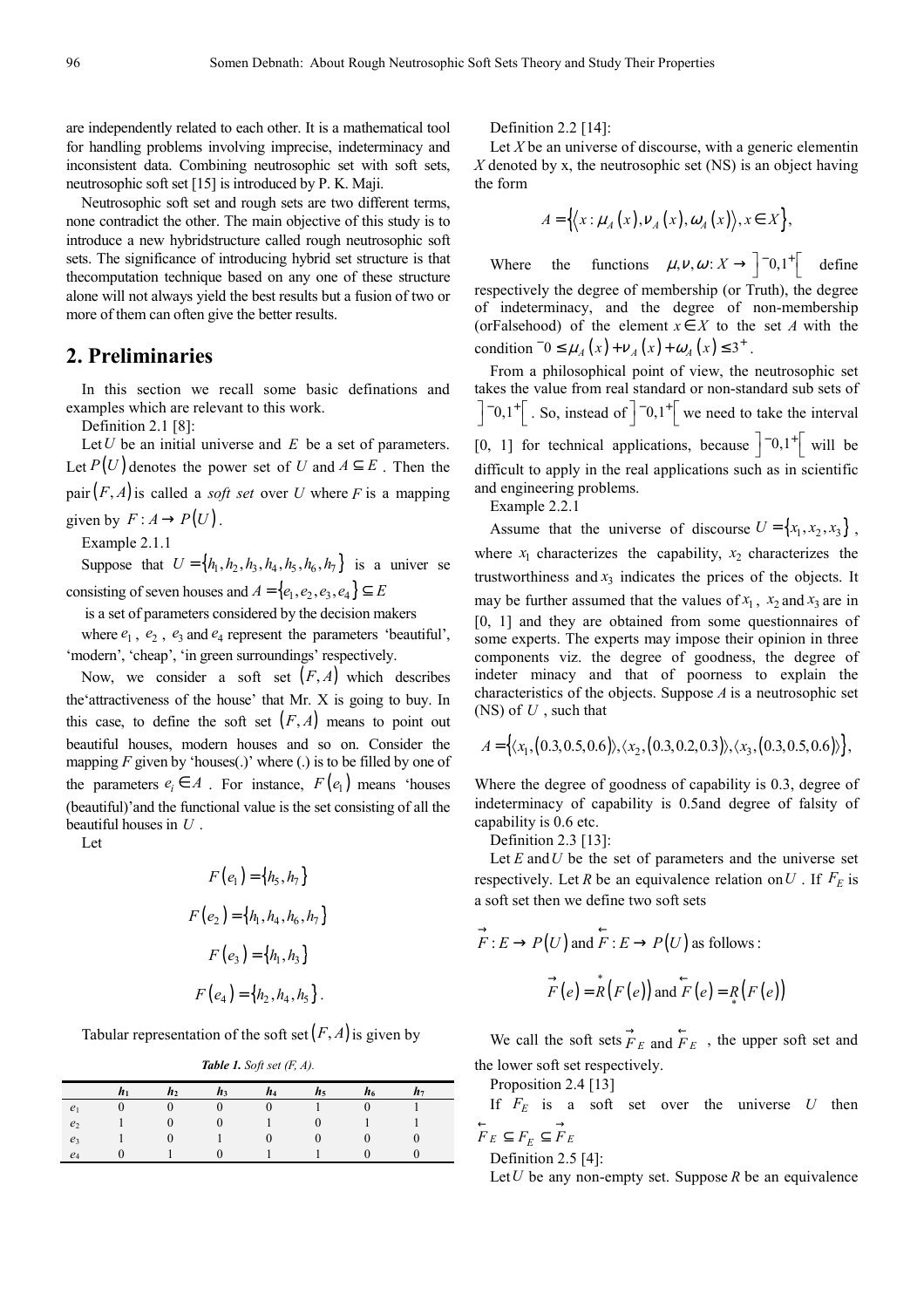are independently related to each other. It is a mathematical tool for handling problems involving imprecise, indeterminacy and inconsistent data. Combining neutrosophic set with soft sets, neutrosophic soft set [15] is introduced by P. K. Maji.

Neutrosophic soft set and rough sets are two different terms, none contradict the other. The main objective of this study is to introduce a new hybridstructure called rough neutrosophic soft sets. The significance of introducing hybrid set structure is that thecomputation technique based on any one of these structure alone will not always yield the best results but a fusion of two or more of them can often give the better results.

# **2. Preliminaries**

In this section we recall some basic definations and examples which are relevant to this work.

Definition 2.1 [8]:

Let*U* be an initial universe and *E* be a set of parameters. Let  $P(U)$  denotes the power set of *U* and  $A \subseteq E$ . Then the pair $(F, A)$  is called a *soft set* over *U* where *F* is a mapping given by  $F: A \to P(U)$ .

Example 2.1.1

Suppose that  $U = \{h_1, h_2, h_3, h_4, h_5, h_6, h_7\}$  is a univer se consisting of seven houses and  $A = \{e_1, e_2, e_3, e_4\} \subseteq E$ 

is a set of parameters considered by the decision makers

where  $e_1$ ,  $e_2$ ,  $e_3$  and  $e_4$  represent the parameters 'beautiful', 'modern', 'cheap', 'in green surroundings' respectively.

Now, we consider a soft set  $(F, A)$  which describes the'attractiveness of the house' that Mr. X is going to buy. In this case, to define the soft set  $(F, A)$  means to point out beautiful houses, modern houses and so on. Consider the mapping  $F$  given by 'houses(.)' where (.) is to be filled by one of the parameters  $e_i \in A$ . For instance,  $F(e_1)$  means 'houses (beautiful)'and the functional value is the set consisting of all the beautiful houses in *U* .

Let

$$
F(e_1) = \{h_5, h_7\}
$$
  

$$
F(e_2) = \{h_1, h_4, h_6, h_7\}
$$
  

$$
F(e_3) = \{h_1, h_3\}
$$
  

$$
F(e_4) = \{h_2, h_4, h_5\}
$$

Tabular representation of the soft set  $(F, A)$  is given by

*Table 1. Soft set (F, A).* 

|                |                |                |                | . .          | .              |                |       |  |
|----------------|----------------|----------------|----------------|--------------|----------------|----------------|-------|--|
|                | h <sub>1</sub> | h <sub>2</sub> | $h_3$          | $h_4$        | h <sub>5</sub> | h <sub>6</sub> | $h_7$ |  |
| $e_1$          | $\overline{0}$ |                | $\overline{0}$ | $\mathbf{0}$ |                | $\Omega$       |       |  |
| e <sub>2</sub> |                |                |                |              |                |                |       |  |
| e <sub>3</sub> |                |                |                |              |                |                |       |  |
| $e_4$          |                |                |                |              |                |                |       |  |

Definition 2.2 [14]:

Let *X* be an universe of discourse, with a generic elementin *X* denoted by x, the neutrosophic set (NS) is an object having the form

$$
A = \left\{ \left\langle x : \mu_A(x), \nu_A(x), \omega_A(x) \right\rangle, x \in X \right\},\
$$

Where the functions  $\mu, \nu, \omega : X \to \begin{bmatrix} -0, 1^+ \end{bmatrix}$  define respectively the degree of membership (or Truth), the degree of indeterminacy, and the degree of non-membership (orFalsehood) of the element  $x \in X$  to the set *A* with the condition  $^{-}0 \leq \mu_A(x) + \nu_A(x) + \omega_A(x) \leq 3^+$ .

From a philosophical point of view, the neutrosophic set takes the value from real standard or non-standard sub sets of  $\begin{bmatrix} -0.1^+ \\ . \end{bmatrix}$ . So, instead of  $\begin{bmatrix} -0.1^+ \\ . \end{bmatrix}$  we need to take the interval [0, 1] for technical applications, because  $\begin{bmatrix} -0,1 \\ 0,1 \end{bmatrix}$  will be difficult to apply in the real applications such as in scientific and engineering problems.

Example 2.2.1

Assume that the universe of discourse  $U = \{x_1, x_2, x_3\}$ , where  $x_1$  characterizes the capability,  $x_2$  characterizes the trustworthiness and  $x_3$  indicates the prices of the objects. It may be further assumed that the values of  $x_1$ ,  $x_2$  and  $x_3$  are in [0, 1] and they are obtained from some questionnaires of some experts. The experts may impose their opinion in three components viz. the degree of goodness, the degree of indeter minacy and that of poorness to explain the characteristics of the objects. Suppose *A* is a neutrosophic set (NS) of *U* , such that

$$
A = \left\{ \langle x_1, (0.3, 0.5, 0.6), \langle x_2, (0.3, 0.2, 0.3), \langle x_3, (0.3, 0.5, 0.6) \rangle \right\},
$$

Where the degree of goodness of capability is 0.3, degree of indeterminacy of capability is 0.5and degree of falsity of capability is 0.6 etc.

Definition 2.3 [13]:

Let  $E$  and  $U$  be the set of parameters and the universe set respectively. Let *R* be an equivalence relation on *U*. If  $F<sub>E</sub>$  is a soft set then we define two soft sets

$$
\overrightarrow{F}: E \to P(U) \text{ and } \overleftarrow{F}: E \to P(U) \text{ as follows :}
$$

$$
\overrightarrow{F}(e) = \overrightarrow{R}(F(e)) \text{ and } \overleftarrow{F}(e) = \overrightarrow{R}(F(e))
$$

We call the soft sets  $\overrightarrow{F}_E$  and  $\overleftarrow{F}_E$ , the upper soft set and the lower soft set respectively.

Proposition 2.4 [13]

If  $F<sub>E</sub>$  is a soft set over the universe U then  $F_E \subseteq F_E \subseteq \overrightarrow{F}_E$ 

Definition 2.5 [4]:

Let*U* be any non-empty set. Suppose *R* be an equivalence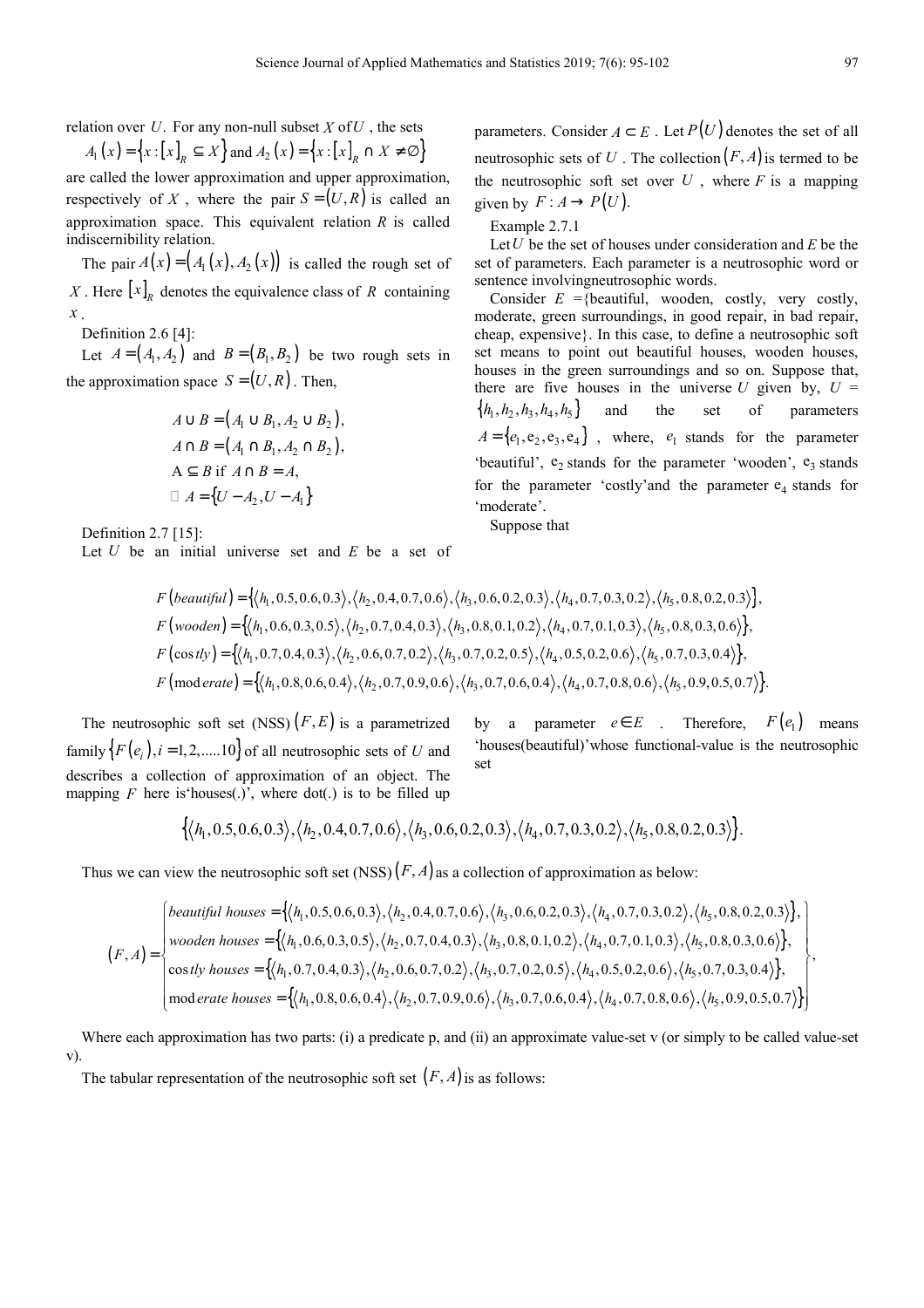relation over  $U$ . For any non-null subset  $X$  of  $U$ , the sets

$$
A_1(x) = \{x : [x]_R \subseteq X\} \text{ and } A_2(x) = \{x : [x]_R \cap X \neq \emptyset\}
$$

are called the lower approximation and upper approximation, respectively of *X*, where the pair  $S = (U, R)$  is called an approximation space. This equivalent relation *R* is called indiscernibility relation.

The pair  $A(x) = (A_1(x), A_2(x))$  is called the rough set of X. Here  $\begin{bmatrix} x \end{bmatrix}_R$  denotes the equivalence class of R containing *x* .

Definition 2.6 [4]:

Let  $A = (A_1, A_2)$  and  $B = (B_1, B_2)$  be two rough sets in the approximation space  $S = (U, R)$ . Then,

$$
A \cup B = (A_1 \cup B_1, A_2 \cup B_2),
$$
  
\n
$$
A \cap B = (A_1 \cap B_1, A_2 \cap B_2),
$$
  
\n
$$
A \subseteq B \text{ if } A \cap B = A,
$$
  
\n
$$
A = \{U - A_2, U - A_1\}
$$

Definition 2.7 [15]:

Let *U* be an initial universe set and *E* be a set of

parameters. Consider  $A \subset E$ . Let  $P(U)$  denotes the set of all neutrosophic sets of U. The collection  $(F, A)$  is termed to be the neutrosophic soft set over  $U$ , where  $F$  is a mapping given by  $F: A \rightarrow P(U)$ .

Example 2.7.1

Let*U* be the set of houses under consideration and *E* be the set of parameters. Each parameter is a neutrosophic word or sentence involvingneutrosophic words.

Consider  $E =$ {beautiful, wooden, costly, very costly, moderate, green surroundings, in good repair, in bad repair, cheap, expensive}. In this case, to define a neutrosophic soft set means to point out beautiful houses, wooden houses, houses in the green surroundings and so on. Suppose that, there are five houses in the universe  $U$  given by,  $U =$  $\{h_1, h_2, h_3, h_4, h_5\}$  and the set of parameters  $A = \{e_1, e_2, e_3, e_4\}$ , where,  $e_1$  stands for the parameter 'beautiful',  $e_2$  stands for the parameter 'wooden',  $e_3$  stands for the parameter 'costly' and the parameter  $e_4$  stands for 'moderate'.

Suppose that

$$
F\left(beautiful\right) = \left\{\langle h_1, 0.5, 0.6, 0.3\rangle, \langle h_2, 0.4, 0.7, 0.6\rangle, \langle h_3, 0.6, 0.2, 0.3\rangle, \langle h_4, 0.7, 0.3, 0.2\rangle, \langle h_5, 0.8, 0.2, 0.3\rangle\right\},\
$$
  
\n
$$
F\left(wooden\right) = \left\{\langle h_1, 0.6, 0.3, 0.5\rangle, \langle h_2, 0.7, 0.4, 0.3\rangle, \langle h_3, 0.8, 0.1, 0.2\rangle, \langle h_4, 0.7, 0.1, 0.3\rangle, \langle h_5, 0.8, 0.3, 0.6\rangle\right\},\
$$
  
\n
$$
F\left(\cos t\psi\right) = \left\{\langle h_1, 0.7, 0.4, 0.3\rangle, \langle h_2, 0.6, 0.7, 0.2\rangle, \langle h_3, 0.7, 0.2, 0.5\rangle, \langle h_4, 0.5, 0.2, 0.6\rangle, \langle h_5, 0.7, 0.3, 0.4\rangle\right\},\
$$
  
\n
$$
F\left(\text{mod} \text{erate}\right) = \left\{\langle h_1, 0.8, 0.6, 0.4\rangle, \langle h_2, 0.7, 0.9, 0.6\rangle, \langle h_3, 0.7, 0.6, 0.4\rangle, \langle h_4, 0.7, 0.8, 0.6\rangle, \langle h_5, 0.9, 0.5, 0.7\rangle\right\}.
$$

The neutrosophic soft set  $(NSS)$   $(F, E)$  is a parametrized family  $\{F(e_i), i = 1, 2, \dots, 10\}$  of all neutrosophic sets of *U* and describes a collection of approximation of an object. The mapping  $F$  here is houses(.)', where dot(.) is to be filled up by a parameter  $e \in E$  . Therefore,  $F(e_1)$  means 'houses(beautiful)'whose functional-value is the neutrosophic set

$$
\{\langle h_1, 0.5, 0.6, 0.3\rangle, \langle h_2, 0.4, 0.7, 0.6\rangle, \langle h_3, 0.6, 0.2, 0.3\rangle, \langle h_4, 0.7, 0.3, 0.2\rangle, \langle h_5, 0.8, 0.2, 0.3\rangle\}.
$$

Thus we can view the neutrosophic soft set  $(NSS)(F, A)$  as a collection of approximation as below:

$$
(F,A) = \begin{cases} \n\begin{cases} \n\begin{cases} \n\begin{cases} \n\begin{cases} \n\begin{cases} \n\begin{cases} \n\begin{cases} \n\begin{cases} \n\begin{cases} \n\begin{cases} \n\begin{cases} \n\begin{cases} \n\begin{cases} \n\begin{cases} \n\begin{cases} \n\begin{cases} \n\begin{cases} \n\begin{cases} \n\begin{cases} \n\begin{cases} \n\begin{cases} \n\begin{cases} \n\begin{cases} \n\begin{cases} \n\begin{cases} \n\begin{cases} \n\begin{cases} \n\begin{cases} \n\begin{cases} \n\begin{cases} \n\begin{cases} \n\begin{cases} \n\begin{cases} \n\begin{cases} \n\begin{cases} \n\begin{cases} \n\begin{cases} \n\begin{cases} \n\begin{cases} \n\begin{cases} \n\begin{cases} \n\begin{cases} \n\begin{cases} \n\begin{cases} \n\begin{cases} \n\begin{cases} \n\begin{cases} \n\begin{cases} \n\begin{cases} \n\begin{cases} \n\begin{cases} \n\begin{cases} \n\begin{cases} \n\begin{cases} \n\begin{cases} \n\begin{cases} \n\begin{cases} \n\begin{cases} \n\begin{cases} \n\begin{cases} \n\begin{{cases} \n\begin{{cases} \n\begin{{cases} \n\begin{{cases} \n\begin{{cases} \n\begin{{cases} \n\begin{{cases} \n\begin{{cases} \n\begin{{cases} \n\begin{{cases} \n\begin{{cases} \n\begin{{cases} \n\begin{{cases} \n\begin{{cases} \n\begin{{cases} \n\begin{{cases} \n\begin{{cases} \n\begin{{cases} \n\begin{{cases} \n\begin{{cases} \n\begin{{cases} \n\begin{{cases} \n\begin{{cases} \n\begin{{cases} \n\begin{{cases} \n\begin{{cases} \n\begin{{cases} \n\begin{{cases} \n\begin{{cases} \n\begin{{cases} \n\begin{{cases} \n\begin{{cases} \n\begin{{cases} \n\begin{{cases} \n\begin{{cases} \n\begin{{cases} \n\begin{{cases} \n\begin{{cases} \n\begin{{cases} \n\begin{{cases} \n\begin{{cases{
$$

Where each approximation has two parts: (i) a predicate p, and (ii) an approximate value-set v (or simply to be called value-set v).

The tabular representation of the neutrosophic soft set  $(F, A)$  is as follows: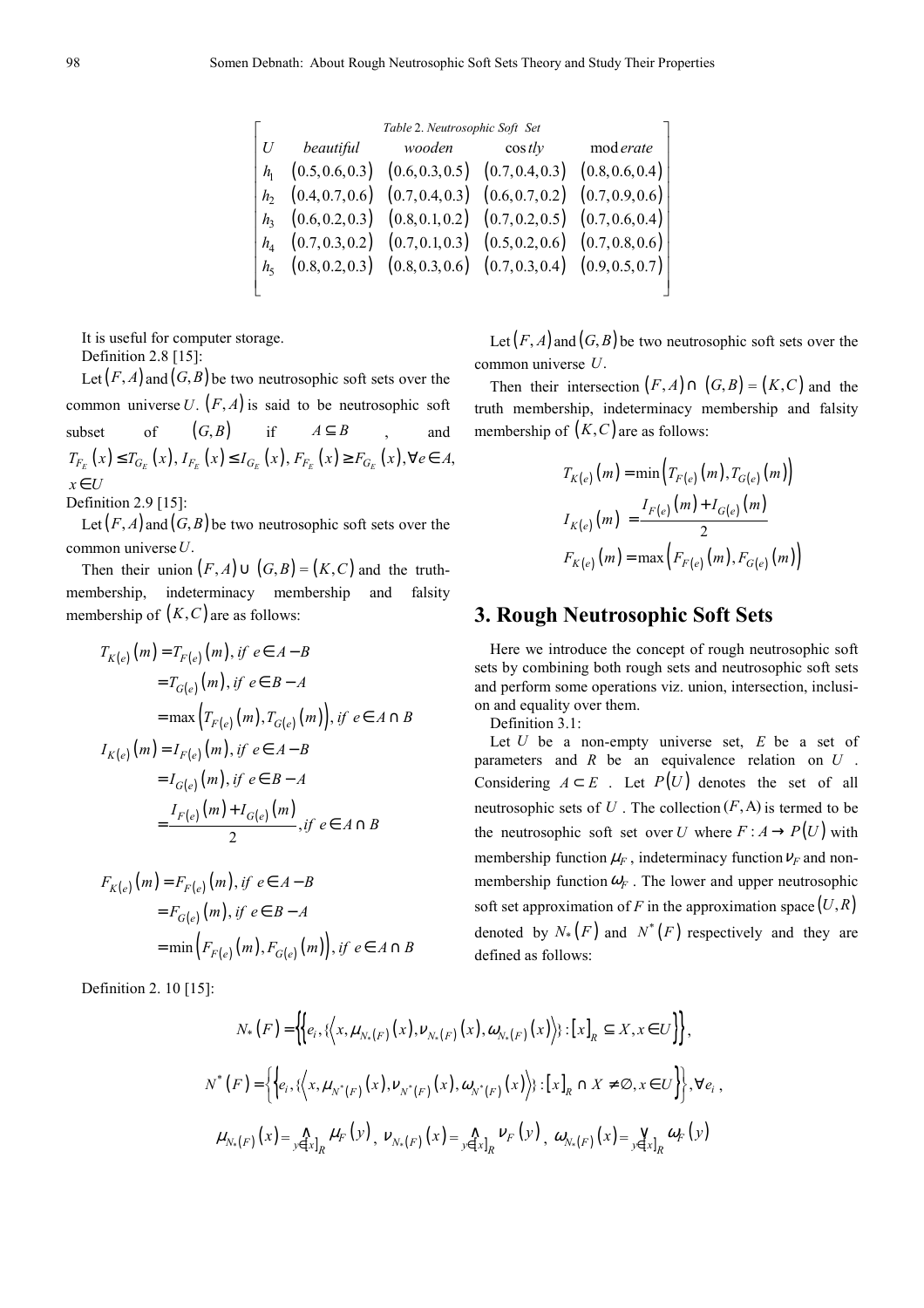| Table 2. Neutrosophic Soft Set |                                                                       |        |                |           |  |  |  |  |  |  |
|--------------------------------|-----------------------------------------------------------------------|--------|----------------|-----------|--|--|--|--|--|--|
| U                              | beautiful                                                             | wooden | $\cos t \, dy$ | mod erate |  |  |  |  |  |  |
|                                | $h_1$ (0.5, 0.6, 0.3) (0.6, 0.3, 0.5) (0.7, 0.4, 0.3) (0.8, 0.6, 0.4) |        |                |           |  |  |  |  |  |  |
|                                | $h_2$ (0.4, 0.7, 0.6) (0.7, 0.4, 0.3) (0.6, 0.7, 0.2) (0.7, 0.9, 0.6) |        |                |           |  |  |  |  |  |  |
|                                | $h_3$ (0.6, 0.2, 0.3) (0.8, 0.1, 0.2) (0.7, 0.2, 0.5) (0.7, 0.6, 0.4) |        |                |           |  |  |  |  |  |  |
|                                | $h_4$ (0.7, 0.3, 0.2) (0.7, 0.1, 0.3) (0.5, 0.2, 0.6) (0.7, 0.8, 0.6) |        |                |           |  |  |  |  |  |  |
|                                | $h_5$ (0.8, 0.2, 0.3) (0.8, 0.3, 0.6) (0.7, 0.3, 0.4) (0.9, 0.5, 0.7) |        |                |           |  |  |  |  |  |  |
|                                |                                                                       |        |                |           |  |  |  |  |  |  |

It is useful for computer storage. Definition 2.8 [15]:

Let  $(F, A)$  and  $(G, B)$  be two neutrosophic soft sets over the common universe  $U$ .  $(F, A)$  is said to be neutrosophic soft subset of  $(G, B)$  if  $A \subseteq B$  and  $T_{F_E}(x) \leq T_{G_E}(x)$ ,  $I_{F_E}(x) \leq I_{G_E}(x)$ ,  $F_{F_E}(x) \geq F_{G_E}(x)$ ,  $\forall e \in A$ , *x*∈U

Definition 2.9 [15]:

Let  $(F, A)$  and  $(G, B)$  be two neutrosophic soft sets over the common universe*U*.

Then their union  $(F, A) \cup (G, B) = (K, C)$  and the truthmembership, indeterminacy membership and falsity membership of  $(K, C)$  are as follows:

$$
T_{K(e)}(m) = T_{F(e)}(m), \text{ if } e \in A - B
$$
  
=  $T_{G(e)}(m), \text{ if } e \in B - A$   
=  $\max \left( T_{F(e)}(m), T_{G(e)}(m) \right), \text{ if } e \in A \cap B$   
 $I_{K(e)}(m) = I_{F(e)}(m), \text{ if } e \in A - B$   
=  $I_{G(e)}(m), \text{ if } e \in B - A$   
=  $\frac{I_{F(e)}(m) + I_{G(e)}(m)}{2}, \text{ if } e \in A \cap B$ 

$$
F_{K(e)}(m) = F_{F(e)}(m), \text{ if } e \in A - B
$$
  
=  $F_{G(e)}(m), \text{ if } e \in B - A$   
=  $\min(F_{F(e)}(m), F_{G(e)}(m)), \text{ if } e \in A \cap B$ 

Definition 2. 10 [15]:

Let  $(F, A)$  and  $(G, B)$  be two neutrosophic soft sets over the common universe *U*.

Then their intersection  $(F, A) \cap (G, B) = (K, C)$  and the truth membership, indeterminacy membership and falsity membership of  $(K, C)$  are as follows:

$$
T_{K(e)}(m) = \min\left(T_{F(e)}(m), T_{G(e)}(m)\right)
$$
  

$$
I_{K(e)}(m) = \frac{I_{F(e)}(m) + I_{G(e)}(m)}{2}
$$
  

$$
F_{K(e)}(m) = \max\left(F_{F(e)}(m), F_{G(e)}(m)\right)
$$

### **3. Rough Neutrosophic Soft Sets**

Here we introduce the concept of rough neutrosophic soft sets by combining both rough sets and neutrosophic soft sets and perform some operations viz. union, intersection, inclusion and equality over them.

Definition 3.1:

Let *U* be a non-empty universe set, *E* be a set of parameters and *R* be an equivalence relation on *U* . Considering  $A \subset E$ . Let  $P(U)$  denotes the set of all neutrosophic sets of  $U$ . The collection  $(F, A)$  is termed to be the neutrosophic soft set over *U* where  $F : A \to P(U)$  with membership function  $\mu_F$ , indeterminacy function  $\nu_F$  and nonmembership function  $\omega_F$ . The lower and upper neutrosophic soft set approximation of *F* in the approximation space  $(U, R)$ denoted by  $N_*(F)$  and  $N^*(F)$  respectively and they are defined as follows:

$$
N_{*}(F) = \left\{ \left\{ e_{i}, \left\{ \left\langle x, \mu_{N_{*}(F)}(x), \nu_{N_{*}(F)}(x), \omega_{N_{*}(F)}(x) \right\rangle \right\} : \left[x\right]_{R} \subseteq X, x \in U \right\} \right\},
$$
  

$$
N^{*}(F) = \left\{ \left\{ e_{i}, \left\{ \left\langle x, \mu_{N^{*}(F)}(x), \nu_{N^{*}(F)}(x), \omega_{N^{*}(F)}(x) \right\rangle \right\} : \left[x\right]_{R} \cap X \neq \emptyset, x \in U \right\} \right\}, \forall e_{i},
$$
  

$$
\mu_{N_{*}(F)}(x) = \left\{ \left\langle e_{i}, \left\langle x, \mu_{N^{*}(F)}(x), \nu_{N^{*}(F)}(x), \omega_{N^{*}(F)}(x) \right\rangle \right\rangle : \left[x\right]_{R} \cap X \neq \emptyset, x \in U \right\} \right\}, \forall e_{i},
$$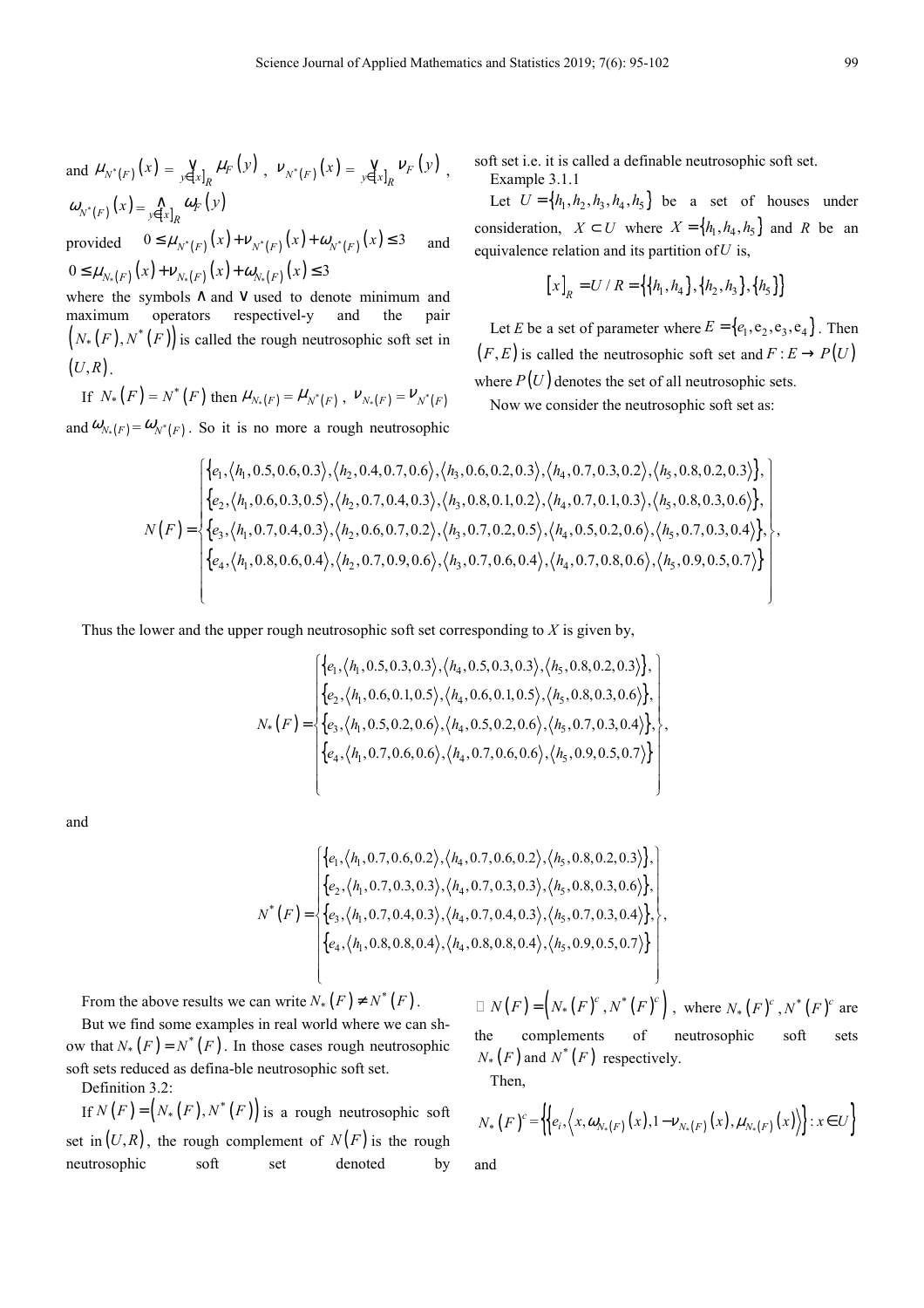and 
$$
\mu_{N^*(F)}(x) = \sum_{y \in [x]_R} \mu_F(y)
$$
,  $\nu_{N^*(F)}(x) = \sum_{y \in [x]_R} \nu_F(y)$ ,  
 $\omega_{N^*(F)}(x) = \sum_{y \in [x]_R} \omega_F(y)$ 

provided  $0 \le \mu_{N^*(F)}(x) + \nu_{N^*(F)}(x) + \omega_{N^*(F)}(x) \le 3$  and  $0 \leq \mu_{N_{*}(F)}(x) + \nu_{N_{*}(F)}(x) + \omega_{N_{*}(F)}(x) \leq 3$ 

where the symbols ∧ and ∨ used to denote minimum and maximum operators respectivel-y and the pair  $(N_*(F), N^*(F))$  is called the rough neutrosophic soft set in  $(U, R)$ .

If 
$$
N_*(F) = N^*(F)
$$
 then  $\mu_{N_*(F)} = \mu_{N^*(F)}$ ,  $\nu_{N_*(F)} = \nu_{N^*(F)}$ 

and  $\omega_{N_*(F)} = \omega_{N^*(F)}$ . So it is no more a rough neutrosophic

soft set i.e. it is called a definable neutrosophic soft set.

Example 3.1.1

Let  $U = \{h_1, h_2, h_3, h_4, h_5\}$  be a set of houses under consideration,  $X \subset U$  where  $X = \{h_1, h_4, h_5\}$  and *R* be an equivalence relation and its partition of*U* is,

$$
[x]_R = U / R = \{ \{h_1, h_4\}, \{h_2, h_3\}, \{h_5\} \}
$$

Let *E* be a set of parameter where  $E = \{e_1, e_2, e_3, e_4\}$ . Then  $(F, E)$  is called the neutrosophic soft set and  $F : E \to P(U)$ 

where  $P(U)$  denotes the set of all neutrosophic sets.

Now we consider the neutrosophic soft set as:

$$
N(F) = \begin{cases} \{e_1, \langle h_1, 0.5, 0.6, 0.3 \rangle, \langle h_2, 0.4, 0.7, 0.6 \rangle, \langle h_3, 0.6, 0.2, 0.3 \rangle, \langle h_4, 0.7, 0.3, 0.2 \rangle, \langle h_5, 0.8, 0.2, 0.3 \rangle\}, \\ \{e_2, \langle h_1, 0.6, 0.3, 0.5 \rangle, \langle h_2, 0.7, 0.4, 0.3 \rangle, \langle h_3, 0.8, 0.1, 0.2 \rangle, \langle h_4, 0.7, 0.1, 0.3 \rangle, \langle h_5, 0.8, 0.3, 0.6 \rangle\}, \\ \{e_3, \langle h_1, 0.7, 0.4, 0.3 \rangle, \langle h_2, 0.6, 0.7, 0.2 \rangle, \langle h_3, 0.7, 0.2, 0.5 \rangle, \langle h_4, 0.5, 0.2, 0.6 \rangle, \langle h_5, 0.7, 0.3, 0.4 \rangle\}, \\ \{e_4, \langle h_1, 0.8, 0.6, 0.4 \rangle, \langle h_2, 0.7, 0.9, 0.6 \rangle, \langle h_3, 0.7, 0.6, 0.4 \rangle, \langle h_4, 0.7, 0.8, 0.6 \rangle, \langle h_5, 0.9, 0.5, 0.7 \rangle\} \end{cases}
$$

Thus the lower and the upper rough neutrosophic soft set corresponding to *X* is given by,

$$
N_{*}(F) = \begin{cases} \{e_{1}, \langle h_{1}, 0.5, 0.3, 0.3 \rangle, \langle h_{4}, 0.5, 0.3, 0.3 \rangle, \langle h_{5}, 0.8, 0.2, 0.3 \rangle\}, \\ \{e_{2}, \langle h_{1}, 0.6, 0.1, 0.5 \rangle, \langle h_{4}, 0.6, 0.1, 0.5 \rangle, \langle h_{5}, 0.8, 0.3, 0.6 \rangle\}, \\ \{e_{3}, \langle h_{1}, 0.5, 0.2, 0.6 \rangle, \langle h_{4}, 0.5, 0.2, 0.6 \rangle, \langle h_{5}, 0.7, 0.3, 0.4 \rangle\}, \\ \{e_{4}, \langle h_{1}, 0.7, 0.6, 0.6 \rangle, \langle h_{4}, 0.7, 0.6, 0.6 \rangle, \langle h_{5}, 0.9, 0.5, 0.7 \rangle\} \end{cases}
$$

and

$$
N^*(F) = \n\begin{cases} \n\{e_1, \langle h_1, 0.7, 0.6, 0.2 \rangle, \langle h_4, 0.7, 0.6, 0.2 \rangle, \langle h_5, 0.8, 0.2, 0.3 \rangle\}, \\
\{e_2, \langle h_1, 0.7, 0.3, 0.3 \rangle, \langle h_4, 0.7, 0.3, 0.3 \rangle, \langle h_5, 0.8, 0.3, 0.6 \rangle\}, \\
\{e_3, \langle h_1, 0.7, 0.4, 0.3 \rangle, \langle h_4, 0.7, 0.4, 0.3 \rangle, \langle h_5, 0.7, 0.3, 0.4 \rangle\}, \\
\{e_4, \langle h_1, 0.8, 0.8, 0.4 \rangle, \langle h_4, 0.8, 0.8, 0.4 \rangle, \langle h_5, 0.9, 0.5, 0.7 \rangle\}\n\end{cases}
$$

From the above results we can write  $N_*(F) \neq N^*(F)$ .

But we find some examples in real world where we can show that  $N_*(F) = N^*(F)$ . In those cases rough neutrosophic soft sets reduced as defina-ble neutrosophic soft set. Definition 3.2:

If  $N(F) = (N_*(F), N^*(F))$  is a rough neutrosophic soft set in  $(U, R)$ , the rough complement of  $N(F)$  is the rough neutrosophic soft set denoted by

 $N(F) = (N_*(F)^c, N^*(F)^c)$ , where  $N_*(F)^c, N^*(F)^c$  are the complements of neutrosophic soft sets  $N_*$  (*F*) and  $N^*(F)$  respectively.

Then,

 $\begin{pmatrix} 1 & 1 & 1 \\ 1 & 1 & 1 \end{pmatrix}$ 

$$
N_{*}(F)^{c} = \left\{ \left\{ e_{i}, \left\langle x, \omega_{N_{*}(F)}(x), 1 - \nu_{N_{*}(F)}(x), \mu_{N_{*}(F)}(x) \right\rangle \right\} : x \in U \right\}
$$

and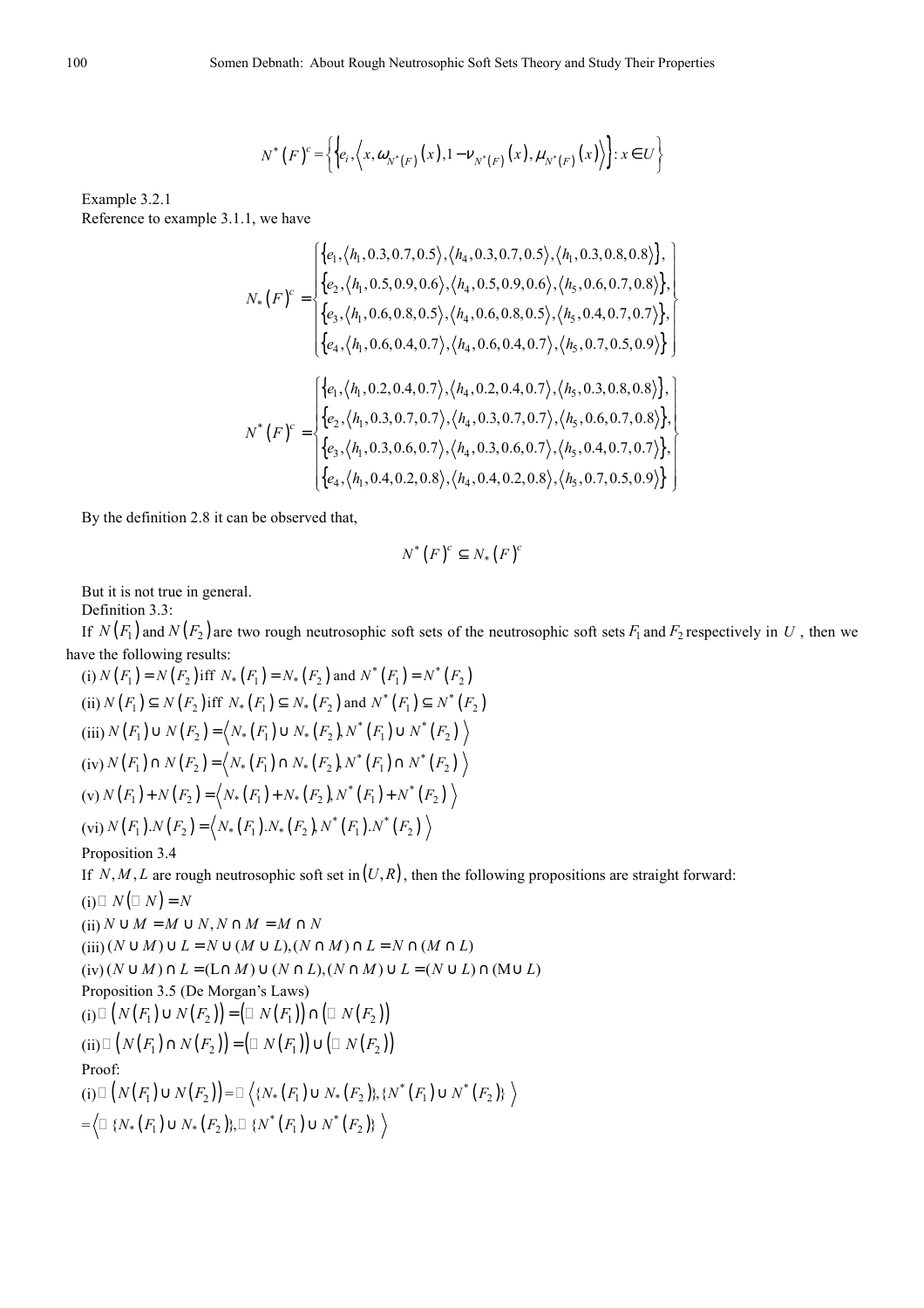$$
N^{*}(F)^{c} = \left\{ \left\{ e_{i}, \left\langle x, \omega_{N^{*}(F)}(x), 1 - \nu_{N^{*}(F)}(x), \mu_{N^{*}(F)}(x) \right\rangle \right\} : x \in U \right\}
$$

Example 3.2.1 Reference to example 3.1.1, we have

$$
N_{*}(F)^{c} = \begin{cases} \{e_{1}, \langle h_{1}, 0.3, 0.7, 0.5 \rangle, \langle h_{4}, 0.3, 0.7, 0.5 \rangle, \langle h_{1}, 0.3, 0.8, 0.8 \rangle\}, \\ \{e_{2}, \langle h_{1}, 0.5, 0.9, 0.6 \rangle, \langle h_{4}, 0.5, 0.9, 0.6 \rangle, \langle h_{5}, 0.6, 0.7, 0.8 \rangle\}, \\ \{e_{3}, \langle h_{1}, 0.6, 0.8, 0.5 \rangle, \langle h_{4}, 0.6, 0.8, 0.5 \rangle, \langle h_{5}, 0.4, 0.7, 0.7 \rangle\}, \\ \{e_{4}, \langle h_{1}, 0.6, 0.4, 0.7 \rangle, \langle h_{4}, 0.6, 0.4, 0.7 \rangle, \langle h_{5}, 0.7, 0.5, 0.9 \rangle\} \end{cases}
$$
  

$$
N^{*}(F)^{c} = \begin{cases} \{e_{1}, \langle h_{1}, 0.2, 0.4, 0.7 \rangle, \langle h_{4}, 0.2, 0.4, 0.7 \rangle, \langle h_{5}, 0.3, 0.8, 0.8 \rangle\}, \\ \{e_{2}, \langle h_{1}, 0.3, 0.7, 0.7 \rangle, \langle h_{4}, 0.3, 0.7, 0.7 \rangle, \langle h_{5}, 0.6, 0.7, 0.8 \rangle\}, \\ \{e_{3}, \langle h_{1}, 0.3, 0.6, 0.7 \rangle, \langle h_{4}, 0.3, 0.6, 0.7 \rangle, \langle h_{5}, 0.4, 0.7, 0.7 \rangle\}, \\ \{e_{4}, \langle h_{1}, 0.4, 0.2, 0.8 \rangle, \langle h_{4}, 0.4, 0.2, 0.8 \rangle, \langle h_{5}, 0.7, 0.5, 0.9 \rangle\} \end{cases}
$$

By the definition 2.8 it can be observed that,

$$
N^*\big(F\big)^c \subseteq N_*\big(F\big)^c
$$

But it is not true in general.

Definition 3.3:

If  $N(F_1)$  and  $N(F_2)$  are two rough neutrosophic soft sets of the neutrosophic soft sets  $F_1$  and  $F_2$  respectively in  $U$ , then we have the following results:

(i) 
$$
N(F_1) = N(F_2)
$$
 iff  $N_*(F_1) = N_*(F_2)$  and  $N^*(F_1) = N^*(F_2)$   
\n(ii)  $N(F_1) \subseteq N(F_2)$  iff  $N_*(F_1) \subseteq N_*(F_2)$  and  $N^*(F_1) \subseteq N^*(F_2)$   
\n(iii)  $N(F_1) \cup N(F_2) = \langle N_*(F_1) \cup N_*(F_2) N^*(F_1) \cup N^*(F_2) \rangle$   
\n(iv)  $N(F_1) \cap N(F_2) = \langle N_*(F_1) \cap N_*(F_2) N^*(F_1) \cap N^*(F_2) \rangle$   
\n(v)  $N(F_1) + N(F_2) = \langle N_*(F_1) + N_*(F_2) N^*(F_1) + N^*(F_2) \rangle$   
\n(vi)  $N(F_1).N(F_2) = \langle N_*(F_1).N_*(F_2) N^*(F_1).N^*(F_2) \rangle$ 

#### Proposition 3.4

If *N,M,L* are rough neutrosophic soft set in  $(U, R)$ , then the following propositions are straight forward:

(i) 
$$
N(N) = N
$$
  
\n(ii)  $N \cup M = M \cup N, N \cap M = M \cap N$   
\n(iii)  $(N \cup M) \cup L = N \cup (M \cup L), (N \cap M) \cap L = N \cap (M \cap L)$   
\n(iv)  $(N \cup M) \cap L = (L \cap M) \cup (N \cap L), (N \cap M) \cup L = (N \cup L) \cap (M \cup L)$   
\nProposition 3.5 (De Morgan's Laws)  
\n(i)  $(N(F_1) \cup N(F_2)) = (N(F_1)) \cap (N(F_2))$   
\n(i)  $(N(F_1) \cap N(F_2)) = (N(F_1)) \cup (N(F_2))$   
\nProof:  
\n(i)  $(N(F_1) \cup N(F_2)) = \langle \{N_*(F_1) \cup N_*(F_2)\}, \{N^*(F_1) \cup N^*(F_2)\} \rangle$   
\n $= \langle \{N_*(F_1) \cup N_*(F_2)\}, \{N^*(F_1) \cup N^*(F_2)\} \rangle$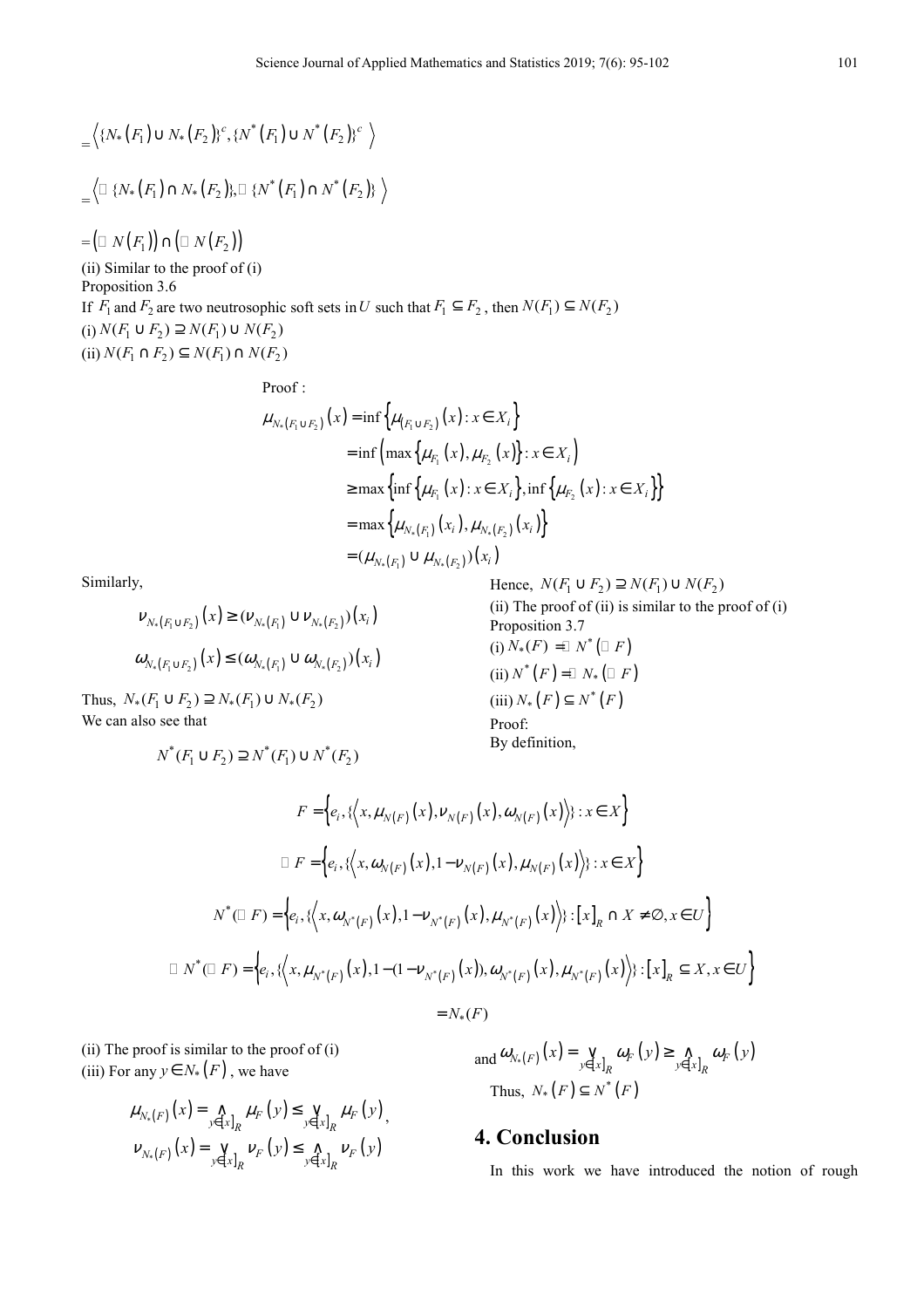$$
= \left\langle \{ N_*(F_1) \cup N_*(F_2) \}^c, \{ N^*(F_1) \cup N^*(F_2) \}^c \right\rangle
$$
  

$$
= \left\langle \{ N_*(F_1) \cap N_*(F_2) \}, \{ N^*(F_1) \cap N^*(F_2) \} \right\rangle
$$

 $= ( N(F_1) ) \cap ( N(F_2) )$ 

(ii) Similar to the proof of (i) Proposition 3.6 If *F*<sub>1</sub> and *F*<sub>2</sub> are two neutrosophic soft sets in *U* such that  $F_1 \subseteq F_2$ , then  $N(F_1) \subseteq N(F_2)$  $(i) N(F_1 \cup F_2) \supseteq N(F_1) \cup N(F_2)$  $(i) N(F_1 \cap F_2) \subseteq N(F_1) \cap N(F_2)$ 

Proof :

$$
\mu_{N_{*}(F_{1}\cup F_{2})}(x) = \inf \{ \mu_{(F_{1}\cup F_{2})}(x) : x \in X_{i} \}
$$
  
\n
$$
= \inf \left( \max \{ \mu_{F_{1}}(x), \mu_{F_{2}}(x) \} : x \in X_{i} \right)
$$
  
\n
$$
\ge \max \left\{ \inf \{ \mu_{F_{1}}(x) : x \in X_{i} \}, \inf \{ \mu_{F_{2}}(x) : x \in X_{i} \} \right\}
$$
  
\n
$$
= \max \left\{ \mu_{N_{*}(F_{1})}(x_{i}), \mu_{N_{*}(F_{2})}(x_{i}) \right\}
$$
  
\n
$$
= (\mu_{N_{*}(F_{1})} \cup \mu_{N_{*}(F_{2})})(x_{i})
$$

Similarly,

$$
\nu_{N_*(F_1 \cup F_2)}(x) \ge (\nu_{N_*(F_1)} \cup \nu_{N_*(F_2)})(x_i)
$$
  

$$
\omega_{N_*(F_1 \cup F_2)}(x) \le (\omega_{N_*(F_1)} \cup \omega_{N_*(F_2)})(x_i)
$$

Thus,  $N_*(F_1 \cup F_2) \supseteq N_*(F_1) \cup N_*(F_2)$ We can also see that

$$
N^*(F_1 \cup F_2) \supseteq N^*(F_1) \cup N^*(F_2)
$$

Hence,  $N(F_1 \cup F_2) \supseteq N(F_1) \cup N(F_2)$ (ii) The proof of (ii) is similar to the proof of  $(i)$ Proposition 3.7  $(i) N_*(F) = N^* (-F)$  $(ii) N^*(F) = N_*(F)$  $(iii) N_* (F) \subseteq N^* (F)$ Proof: By definition,

$$
F = \Big\{ e_i, \{ \Big\langle x, \mu_{N(F)}(x), \nu_{N(F)}(x), \omega_{N(F)}(x) \Big\rangle \} : x \in X \Big\}
$$
  
\n
$$
F = \Big\{ e_i, \{ \Big\langle x, \omega_{N(F)}(x), 1 - \nu_{N(F)}(x), \mu_{N(F)}(x) \Big\rangle \} : x \in X \Big\}
$$
  
\n
$$
N^*(F) = \Big\{ e_i, \{ \Big\langle x, \omega_{N^*(F)}(x), 1 - \nu_{N^*(F)}(x), \mu_{N^*(F)}(x) \Big\rangle \} : [x]_R \cap X \neq \emptyset, x \in U \Big\}
$$
  
\n
$$
N^*(F) = \Big\{ e_i, \{ \Big\langle x, \mu_{N^*(F)}(x), 1 - (1 - \nu_{N^*(F)}(x)), \omega_{N^*(F)}(x), \mu_{N^*(F)}(x) \Big\rangle \} : [x]_R \subseteq X, x \in U \Big\}
$$
  
\n
$$
= N_*(F)
$$

(ii) The proof is similar to the proof of (i) (iii) For any  $y \in N_*(F)$ , we have

$$
\mu_{N_{*}(F)}(x) = \bigwedge_{y \in [x]_{R}} \mu_{F}(y) \leq \bigvee_{y \in [x]_{R}} \mu_{F}(y),
$$
  

$$
\nu_{N_{*}(F)}(x) = \bigvee_{y \in [x]_{R}} \nu_{F}(y) \leq \bigwedge_{y \in [x]_{R}} \nu_{F}(y)
$$

and  $\omega_{N_{*}(F)}(x) = \bigvee_{y \in [x]_R} \omega_F(y) \ge \bigwedge_{y \in [x]_R} \omega_F(y)$  $\omega_{N_*(F)}(x) = \bigvee_{y \in [x]_p} \omega_F(y) \geq \bigwedge_{y \in [x]_p} \omega_F(y)$ Thus,  $N_*(F) \subseteq N^*(F)$ 

# **4. Conclusion**

In this work we have introduced the notion of rough